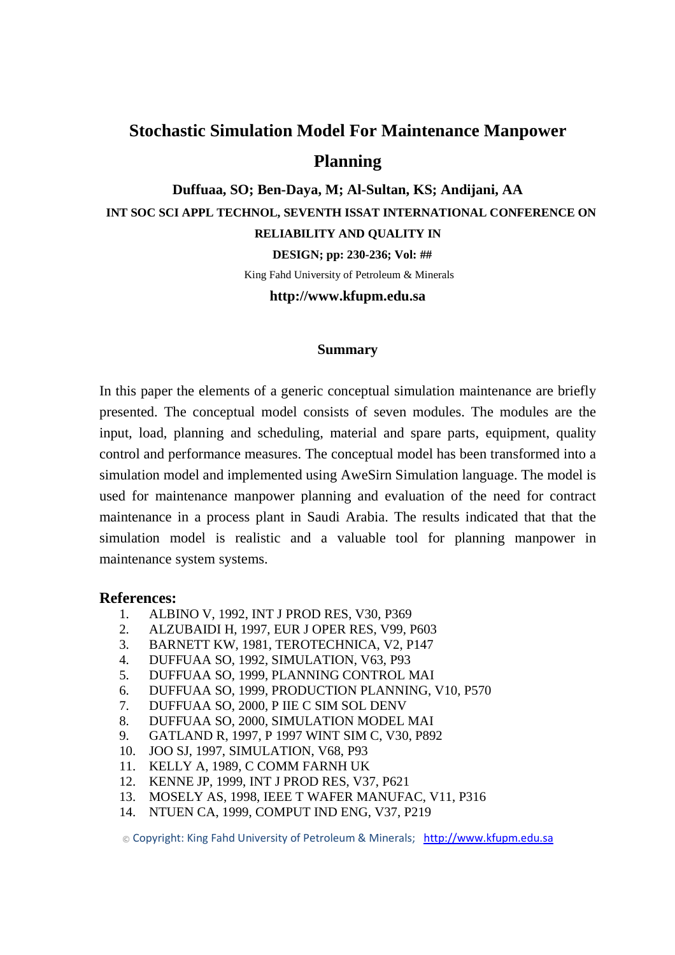## **Stochastic Simulation Model For Maintenance Manpower Planning**

**Duffuaa, SO; Ben-Daya, M; Al-Sultan, KS; Andijani, AA INT SOC SCI APPL TECHNOL, SEVENTH ISSAT INTERNATIONAL CONFERENCE ON RELIABILITY AND QUALITY IN** 

 **DESIGN; pp: 230-236; Vol: ##** 

King Fahd University of Petroleum & Minerals

**http://www.kfupm.edu.sa** 

## **Summary**

In this paper the elements of a generic conceptual simulation maintenance are briefly presented. The conceptual model consists of seven modules. The modules are the input, load, planning and scheduling, material and spare parts, equipment, quality control and performance measures. The conceptual model has been transformed into a simulation model and implemented using AweSirn Simulation language. The model is used for maintenance manpower planning and evaluation of the need for contract maintenance in a process plant in Saudi Arabia. The results indicated that that the simulation model is realistic and a valuable tool for planning manpower in maintenance system systems.

## **References:**

- 1. ALBINO V, 1992, INT J PROD RES, V30, P369
- 2. ALZUBAIDI H, 1997, EUR J OPER RES, V99, P603
- 3. BARNETT KW, 1981, TEROTECHNICA, V2, P147
- 4. DUFFUAA SO, 1992, SIMULATION, V63, P93
- 5. DUFFUAA SO, 1999, PLANNING CONTROL MAI
- 6. DUFFUAA SO, 1999, PRODUCTION PLANNING, V10, P570
- 7. DUFFUAA SO, 2000, P IIE C SIM SOL DENV
- 8. DUFFUAA SO, 2000, SIMULATION MODEL MAI
- 9. GATLAND R, 1997, P 1997 WINT SIM C, V30, P892
- 10. JOO SJ, 1997, SIMULATION, V68, P93
- 11. KELLY A, 1989, C COMM FARNH UK
- 12. KENNE JP, 1999, INT J PROD RES, V37, P621
- 13. MOSELY AS, 1998, IEEE T WAFER MANUFAC, V11, P316
- 14. NTUEN CA, 1999, COMPUT IND ENG, V37, P219

© Copyright: King Fahd University of Petroleum & Minerals; http://www.kfupm.edu.sa